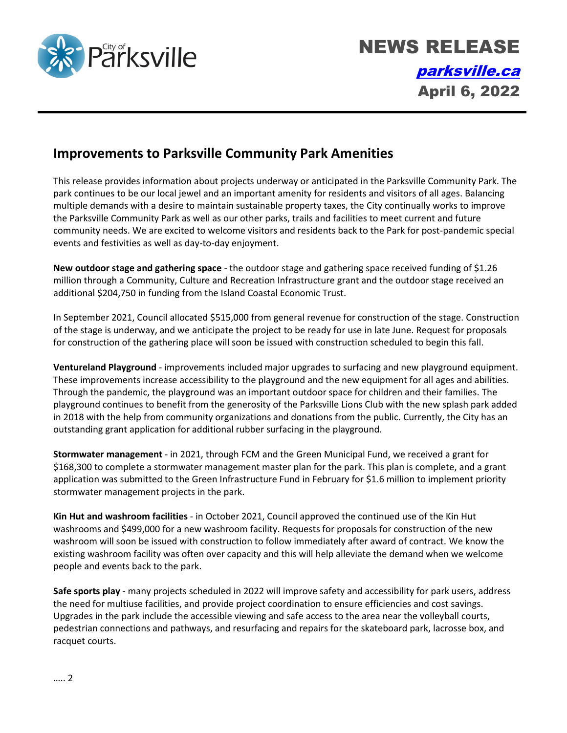

## **Improvements to Parksville Community Park Amenities**

This release provides information about projects underway or anticipated in the Parksville Community Park. The park continues to be our local jewel and an important amenity for residents and visitors of all ages. Balancing multiple demands with a desire to maintain sustainable property taxes, the City continually works to improve the Parksville Community Park as well as our other parks, trails and facilities to meet current and future community needs. We are excited to welcome visitors and residents back to the Park for post-pandemic special events and festivities as well as day-to-day enjoyment.

**New outdoor stage and gathering space** - the outdoor stage and gathering space received funding of \$1.26 million through a Community, Culture and Recreation Infrastructure grant and the outdoor stage received an additional \$204,750 in funding from the Island Coastal Economic Trust.

In September 2021, Council allocated \$515,000 from general revenue for construction of the stage. Construction of the stage is underway, and we anticipate the project to be ready for use in late June. Request for proposals for construction of the gathering place will soon be issued with construction scheduled to begin this fall.

**Ventureland Playground** - improvements included major upgrades to surfacing and new playground equipment. These improvements increase accessibility to the playground and the new equipment for all ages and abilities. Through the pandemic, the playground was an important outdoor space for children and their families. The playground continues to benefit from the generosity of the Parksville Lions Club with the new splash park added in 2018 with the help from community organizations and donations from the public. Currently, the City has an outstanding grant application for additional rubber surfacing in the playground.

**Stormwater management** - in 2021, through FCM and the Green Municipal Fund, we received a grant for \$168,300 to complete a stormwater management master plan for the park. This plan is complete, and a grant application was submitted to the Green Infrastructure Fund in February for \$1.6 million to implement priority stormwater management projects in the park.

**Kin Hut and washroom facilities** - in October 2021, Council approved the continued use of the Kin Hut washrooms and \$499,000 for a new washroom facility. Requests for proposals for construction of the new washroom will soon be issued with construction to follow immediately after award of contract. We know the existing washroom facility was often over capacity and this will help alleviate the demand when we welcome people and events back to the park.

**Safe sports play** - many projects scheduled in 2022 will improve safety and accessibility for park users, address the need for multiuse facilities, and provide project coordination to ensure efficiencies and cost savings. Upgrades in the park include the accessible viewing and safe access to the area near the volleyball courts, pedestrian connections and pathways, and resurfacing and repairs for the skateboard park, lacrosse box, and racquet courts.